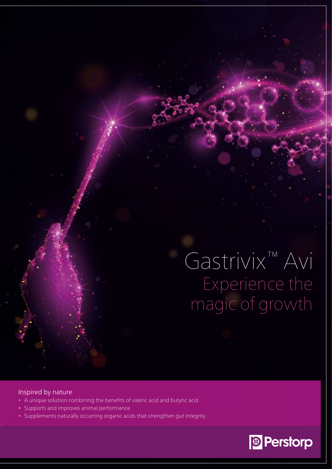### Gastrivix™ Avi Experience the magic of growth

#### Inspired by nature

- A unique solution combining the benefits of valeric acid and butyric acid
- Supports and improves animal performance
- Supplements naturally occurring organic acids that strengthen gut integrity

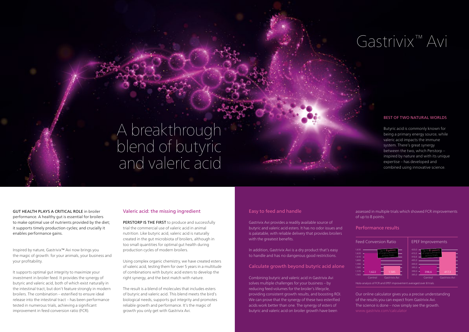### A breakthrough blend of butyric and valeric acid

GUT HEALTH PLAYS A CRITICAL ROLE in broiler performance. A healthy gut is essential for broilers to make optimal use of nutrients provided by the diet; it supports timely production cycles; and crucially it enables performance gains.

Inspired by nature, Gastrivix™ Avi now brings you the magic of growth: for your animals, your business and your profitability.

PERSTORP IS THE FIRST to produce and successfully trial the commercial use of valeric acid in animal nutrition. Like butyric acid, valeric acid is naturally created in the gut microbiota of broilers, although in too small quantities for optimal gut health during production cycles of modern broilers.

It supports optimal gut integrity to maximize your investment in broiler feed. It provides the synergy of butyric and valeric acid, both of which exist naturally in the intestinal tract, but don't feature strongly in modern broilers. The combination – esterified to ensure ideal release into the intestinal tract – has been performance tested in numerous trials, achieving a significant improvement in feed conversion ratio (FCR).

#### Valeric acid: the missing ingredient

Using complex organic chemistry, we have created esters of valeric acid, testing them for over 5 years in a multitude of combinations with butyric acid esters to develop the right synergy, and the best match with nature.

The result is a blend of molecules that includes esters of butyric and valeric acid. This blend meets the bird's biological needs, supports gut integrity and promotes reliable growth and performance. It's the magic of growth you only get with Gastrivix Avi.

#### Easy to feed and handle

Gastrivix Avi provides a readily available source of butyric and valeric acid esters. It has no odor issues and is palatable, with reliable delivery that provides broilers with the greatest benefits.

In addition, Gastrivix Avi is a dry product that's easy to handle and has no dangerous good restrictions.

#### Calculate growth beyond butyric acid alone

Combining butyric and valeric acid in Gastrivix Avi solves multiple challenges for your business – by reducing feed volumes for the broiler's lifecycle, providing consistent growth results, and boosting ROI. We can prove that the synergy of these two esterified acids work better than one. The synergy of esters of butyric and valeric acid on broiler growth have been

assessed in multiple trials which showed FCR improvements of up to 8 points.

#### Performance results

Our online calculator gives you a precise understanding of the results you can expect from Gastrivix Avi. The science is done – now simply see the growth.

#### BEST OF TWO NATURAL WORLDS

Butyric acid is commonly known for being a primary energy source, while valeric acid impacts the immune system. There's great synergy between the two, which Perstorp – inspired by nature and with its unique expertise – has developed and combined using innovative science.

## Gastrivix™ Avi



Holo-analysis of FCR and EPEF improvement averaged over 8 trials.